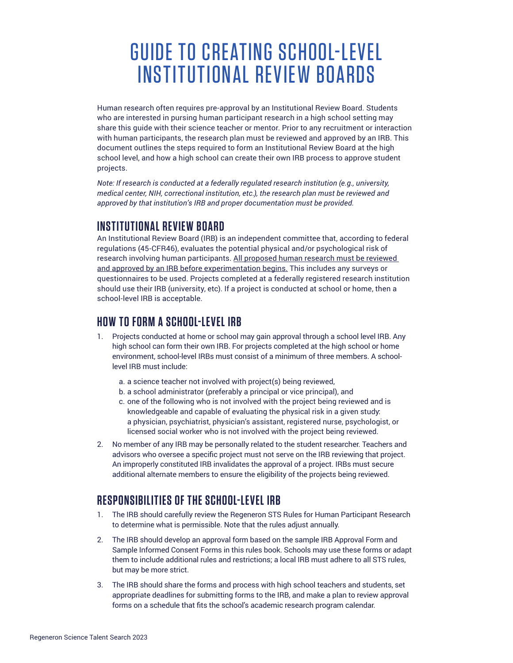# GUIDE TO CREATING SCHOOL-LEVEL INSTITUTIONAL REVIEW BOARDS

Human research often requires pre-approval by an Institutional Review Board. Students who are interested in pursing human participant research in a high school setting may share this guide with their science teacher or mentor. Prior to any recruitment or interaction with human participants, the research plan must be reviewed and approved by an IRB. This document outlines the steps required to form an Institutional Review Board at the high school level, and how a high school can create their own IRB process to approve student projects.

*Note: If research is conducted at a federally regulated research institution (e.g., university, medical center, NIH, correctional institution, etc.), the research plan must be reviewed and approved by that institution's IRB and proper documentation must be provided.*

#### **INSTITUTIONAL REVIEW BOARD**

An Institutional Review Board (IRB) is an independent committee that, according to federal regulations (45-CFR46), evaluates the potential physical and/or psychological risk of research involving human participants. All proposed human research must be reviewed and approved by an IRB before experimentation begins. This includes any surveys or questionnaires to be used. Projects completed at a federally registered research institution should use their IRB (university, etc). If a project is conducted at school or home, then a school-level IRB is acceptable.

### **HOW TO FORM A SCHOOL-LEVEL IRB**

- 1. Projects conducted at home or school may gain approval through a school level IRB. Any high school can form their own IRB. For projects completed at the high school or home environment, school-level IRBs must consist of a minimum of three members. A schoollevel IRB must include:
	- a. a science teacher not involved with project(s) being reviewed,
	- b. a school administrator (preferably a principal or vice principal), and
	- c. one of the following who is not involved with the project being reviewed and is knowledgeable and capable of evaluating the physical risk in a given study: a physician, psychiatrist, physician's assistant, registered nurse, psychologist, or licensed social worker who is not involved with the project being reviewed.
- 2. No member of any IRB may be personally related to the student researcher. Teachers and advisors who oversee a specific project must not serve on the IRB reviewing that project. An improperly constituted IRB invalidates the approval of a project. IRBs must secure additional alternate members to ensure the eligibility of the projects being reviewed.

# **RESPONSIBILITIES OF THE SCHOOL-LEVEL IRB**

- 1. The IRB should carefully review the Regeneron STS Rules for Human Participant Research to determine what is permissible. Note that the rules adjust annually.
- 2. The IRB should develop an approval form based on the sample IRB Approval Form and Sample Informed Consent Forms in this rules book. Schools may use these forms or adapt them to include additional rules and restrictions; a local IRB must adhere to all STS rules, but may be more strict.
- 3. The IRB should share the forms and process with high school teachers and students, set appropriate deadlines for submitting forms to the IRB, and make a plan to review approval forms on a schedule that fits the school's academic research program calendar.